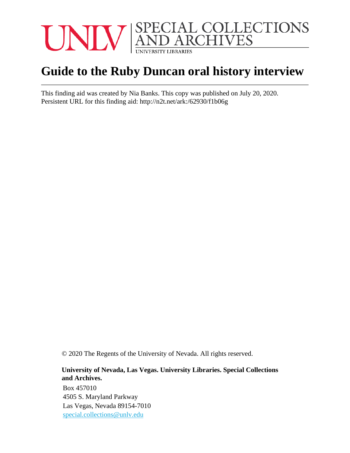

# **Guide to the Ruby Duncan oral history interview**

This finding aid was created by Nia Banks. This copy was published on July 20, 2020. Persistent URL for this finding aid: <http://n2t.net/ark:/62930/f1b06g>

© 2020 The Regents of the University of Nevada. All rights reserved.

#### **University of Nevada, Las Vegas. University Libraries. Special Collections and Archives.**

Box 457010 4505 S. Maryland Parkway Las Vegas, Nevada 89154-7010 [special.collections@unlv.edu](mailto:special.collections@unlv.edu)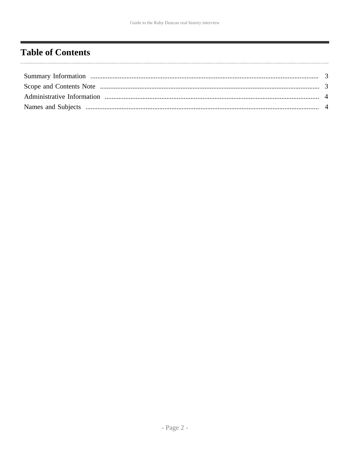## <span id="page-1-0"></span>**Table of Contents**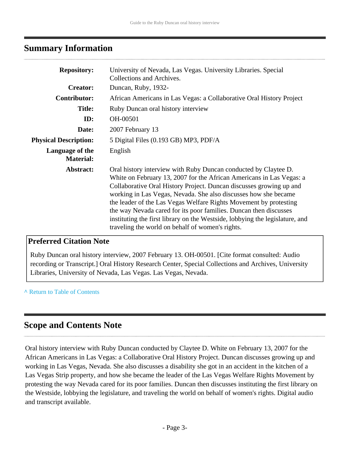## <span id="page-2-0"></span>**Summary Information**

| <b>Repository:</b>                  | University of Nevada, Las Vegas. University Libraries. Special<br>Collections and Archives.                                                                                                                                                                                                                                                                                                                                                                                                                                                                     |
|-------------------------------------|-----------------------------------------------------------------------------------------------------------------------------------------------------------------------------------------------------------------------------------------------------------------------------------------------------------------------------------------------------------------------------------------------------------------------------------------------------------------------------------------------------------------------------------------------------------------|
| <b>Creator:</b>                     | Duncan, Ruby, 1932-                                                                                                                                                                                                                                                                                                                                                                                                                                                                                                                                             |
| <b>Contributor:</b>                 | African Americans in Las Vegas: a Collaborative Oral History Project                                                                                                                                                                                                                                                                                                                                                                                                                                                                                            |
| <b>Title:</b>                       | Ruby Duncan oral history interview                                                                                                                                                                                                                                                                                                                                                                                                                                                                                                                              |
| ID:                                 | OH-00501                                                                                                                                                                                                                                                                                                                                                                                                                                                                                                                                                        |
| Date:                               | 2007 February 13                                                                                                                                                                                                                                                                                                                                                                                                                                                                                                                                                |
| <b>Physical Description:</b>        | 5 Digital Files (0.193 GB) MP3, PDF/A                                                                                                                                                                                                                                                                                                                                                                                                                                                                                                                           |
| Language of the<br><b>Material:</b> | English                                                                                                                                                                                                                                                                                                                                                                                                                                                                                                                                                         |
| Abstract:                           | Oral history interview with Ruby Duncan conducted by Claytee D.<br>White on February 13, 2007 for the African Americans in Las Vegas: a<br>Collaborative Oral History Project. Duncan discusses growing up and<br>working in Las Vegas, Nevada. She also discusses how she became<br>the leader of the Las Vegas Welfare Rights Movement by protesting<br>the way Nevada cared for its poor families. Duncan then discusses<br>instituting the first library on the Westside, lobbying the legislature, and<br>traveling the world on behalf of women's rights. |

### **Preferred Citation Note**

Ruby Duncan oral history interview, 2007 February 13. OH-00501. [Cite format consulted: Audio recording or Transcript.] Oral History Research Center, Special Collections and Archives, University Libraries, University of Nevada, Las Vegas. Las Vegas, Nevada.

**^** [Return to Table of Contents](#page-1-0)

## <span id="page-2-1"></span>**Scope and Contents Note**

Oral history interview with Ruby Duncan conducted by Claytee D. White on February 13, 2007 for the African Americans in Las Vegas: a Collaborative Oral History Project. Duncan discusses growing up and working in Las Vegas, Nevada. She also discusses a disability she got in an accident in the kitchen of a Las Vegas Strip property, and how she became the leader of the Las Vegas Welfare Rights Movement by protesting the way Nevada cared for its poor families. Duncan then discusses instituting the first library on the Westside, lobbying the legislature, and traveling the world on behalf of women's rights. Digital audio and transcript available.